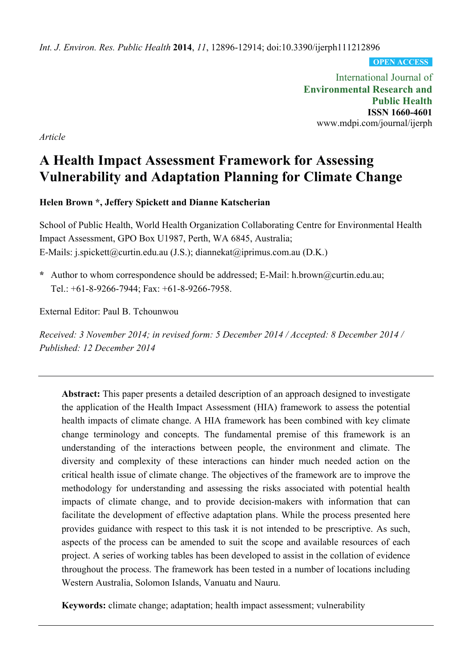*Int. J. Environ. Res. Public Health* **2014**, *11*, 12896-12914; doi:10.3390/ijerph111212896

**OPEN ACCESS**

International Journal of **Environmental Research and Public Health ISSN 1660-4601**  www.mdpi.com/journal/ijerph

*Article* 

# **A Health Impact Assessment Framework for Assessing Vulnerability and Adaptation Planning for Climate Change**

**Helen Brown \*, Jeffery Spickett and Dianne Katscherian** 

School of Public Health, World Health Organization Collaborating Centre for Environmental Health Impact Assessment, GPO Box U1987, Perth, WA 6845, Australia; E-Mails: j.spickett@curtin.edu.au (J.S.); diannekat@iprimus.com.au (D.K.)

**\*** Author to whom correspondence should be addressed; E-Mail: h.brown@curtin.edu.au; Tel.: +61-8-9266-7944; Fax: +61-8-9266-7958.

External Editor: Paul B. Tchounwou

*Received: 3 November 2014; in revised form: 5 December 2014 / Accepted: 8 December 2014 / Published: 12 December 2014* 

**Abstract:** This paper presents a detailed description of an approach designed to investigate the application of the Health Impact Assessment (HIA) framework to assess the potential health impacts of climate change. A HIA framework has been combined with key climate change terminology and concepts. The fundamental premise of this framework is an understanding of the interactions between people, the environment and climate. The diversity and complexity of these interactions can hinder much needed action on the critical health issue of climate change. The objectives of the framework are to improve the methodology for understanding and assessing the risks associated with potential health impacts of climate change, and to provide decision-makers with information that can facilitate the development of effective adaptation plans. While the process presented here provides guidance with respect to this task it is not intended to be prescriptive. As such, aspects of the process can be amended to suit the scope and available resources of each project. A series of working tables has been developed to assist in the collation of evidence throughout the process. The framework has been tested in a number of locations including Western Australia, Solomon Islands, Vanuatu and Nauru.

**Keywords:** climate change; adaptation; health impact assessment; vulnerability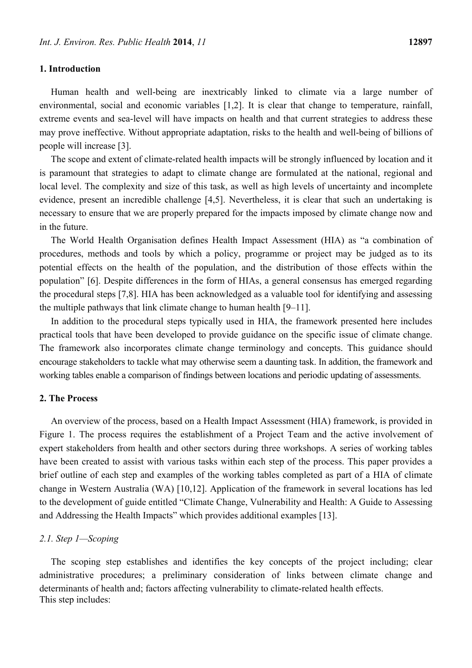#### **1. Introduction**

Human health and well-being are inextricably linked to climate via a large number of environmental, social and economic variables [1,2]. It is clear that change to temperature, rainfall, extreme events and sea-level will have impacts on health and that current strategies to address these may prove ineffective. Without appropriate adaptation, risks to the health and well-being of billions of people will increase [3].

The scope and extent of climate-related health impacts will be strongly influenced by location and it is paramount that strategies to adapt to climate change are formulated at the national, regional and local level. The complexity and size of this task, as well as high levels of uncertainty and incomplete evidence, present an incredible challenge [4,5]. Nevertheless, it is clear that such an undertaking is necessary to ensure that we are properly prepared for the impacts imposed by climate change now and in the future.

The World Health Organisation defines Health Impact Assessment (HIA) as "a combination of procedures, methods and tools by which a policy, programme or project may be judged as to its potential effects on the health of the population, and the distribution of those effects within the population" [6]. Despite differences in the form of HIAs, a general consensus has emerged regarding the procedural steps [7,8]. HIA has been acknowledged as a valuable tool for identifying and assessing the multiple pathways that link climate change to human health [9–11].

In addition to the procedural steps typically used in HIA, the framework presented here includes practical tools that have been developed to provide guidance on the specific issue of climate change. The framework also incorporates climate change terminology and concepts. This guidance should encourage stakeholders to tackle what may otherwise seem a daunting task. In addition, the framework and working tables enable a comparison of findings between locations and periodic updating of assessments.

# **2. The Process**

An overview of the process, based on a Health Impact Assessment (HIA) framework, is provided in Figure 1. The process requires the establishment of a Project Team and the active involvement of expert stakeholders from health and other sectors during three workshops. A series of working tables have been created to assist with various tasks within each step of the process. This paper provides a brief outline of each step and examples of the working tables completed as part of a HIA of climate change in Western Australia (WA) [10,12]. Application of the framework in several locations has led to the development of guide entitled "Climate Change, Vulnerability and Health: A Guide to Assessing and Addressing the Health Impacts" which provides additional examples [13].

#### *2.1. Step 1—Scoping*

The scoping step establishes and identifies the key concepts of the project including; clear administrative procedures; a preliminary consideration of links between climate change and determinants of health and; factors affecting vulnerability to climate-related health effects. This step includes: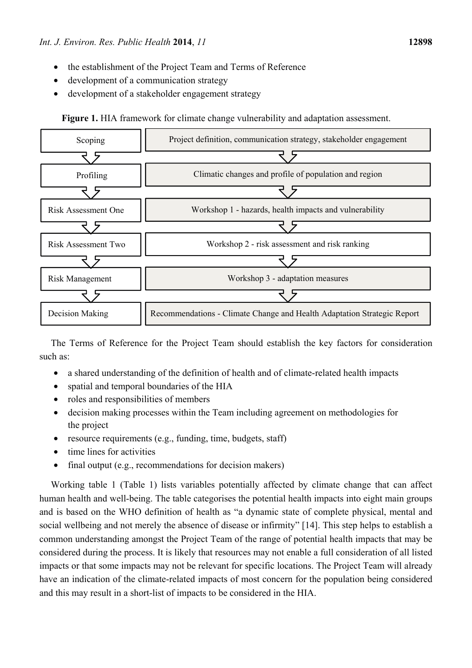- the establishment of the Project Team and Terms of Reference
- development of a communication strategy
- development of a stakeholder engagement strategy

**Figure 1.** HIA framework for climate change vulnerability and adaptation assessment.



The Terms of Reference for the Project Team should establish the key factors for consideration such as:

- a shared understanding of the definition of health and of climate-related health impacts
- spatial and temporal boundaries of the HIA
- roles and responsibilities of members
- decision making processes within the Team including agreement on methodologies for the project
- resource requirements (e.g., funding, time, budgets, staff)
- time lines for activities
- final output (e.g., recommendations for decision makers)

Working table 1 (Table 1) lists variables potentially affected by climate change that can affect human health and well-being. The table categorises the potential health impacts into eight main groups and is based on the WHO definition of health as "a dynamic state of complete physical, mental and social wellbeing and not merely the absence of disease or infirmity" [14]. This step helps to establish a common understanding amongst the Project Team of the range of potential health impacts that may be considered during the process. It is likely that resources may not enable a full consideration of all listed impacts or that some impacts may not be relevant for specific locations. The Project Team will already have an indication of the climate-related impacts of most concern for the population being considered and this may result in a short-list of impacts to be considered in the HIA.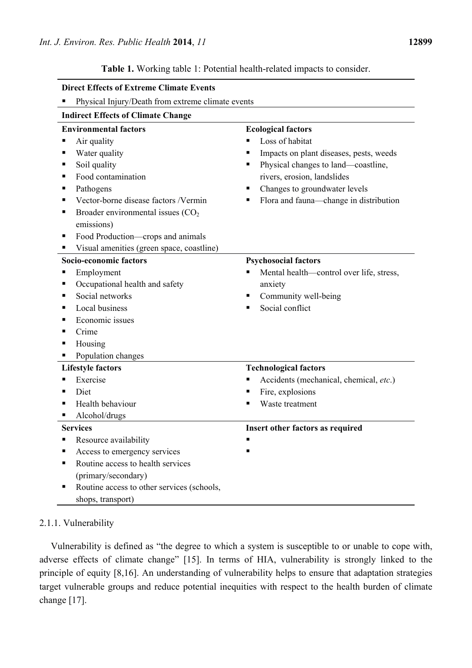**Table 1.** Working table 1: Potential health-related impacts to consider.

| <b>Direct Effects of Extreme Climate Events</b>                                                                                                                                                                                                                                                                     |                                                                                                                                                                                                                                                         |
|---------------------------------------------------------------------------------------------------------------------------------------------------------------------------------------------------------------------------------------------------------------------------------------------------------------------|---------------------------------------------------------------------------------------------------------------------------------------------------------------------------------------------------------------------------------------------------------|
| Physical Injury/Death from extreme climate events<br>п                                                                                                                                                                                                                                                              |                                                                                                                                                                                                                                                         |
| <b>Indirect Effects of Climate Change</b>                                                                                                                                                                                                                                                                           |                                                                                                                                                                                                                                                         |
| <b>Environmental factors</b><br>Air quality<br>Water quality<br>Soil quality<br>п<br>Food contamination<br>Pathogens<br>Vector-borne disease factors /Vermin<br>Broader environmental issues $(CO2)$<br>п<br>emissions)<br>Food Production—crops and animals<br>п<br>Visual amenities (green space, coastline)<br>п | <b>Ecological factors</b><br>Loss of habitat<br>Impacts on plant diseases, pests, weeds<br>Physical changes to land—coastline,<br>٠<br>rivers, erosion, landslides<br>Changes to groundwater levels<br>■<br>Flora and fauna-change in distribution<br>ш |
| Socio-economic factors<br>Employment<br>Occupational health and safety<br>Social networks<br>Local business<br>■<br>Economic issues<br>Crime<br>Housing<br>п<br>Population changes                                                                                                                                  | <b>Psychosocial factors</b><br>Mental health—control over life, stress,<br>٠<br>anxiety<br>Community well-being<br>п<br>Social conflict<br>٠                                                                                                            |
| <b>Lifestyle factors</b><br>Exercise<br>Diet<br>Health behaviour<br>п<br>Alcohol/drugs<br>п                                                                                                                                                                                                                         | <b>Technological factors</b><br>Accidents (mechanical, chemical, etc.)<br>Fire, explosions<br>٠<br>Waste treatment<br>٠                                                                                                                                 |
| <b>Services</b><br>Resource availability<br>п<br>Access to emergency services<br>Routine access to health services<br>(primary/secondary)<br>Routine access to other services (schools,<br>shops, transport)                                                                                                        | Insert other factors as required                                                                                                                                                                                                                        |

# 2.1.1. Vulnerability

Vulnerability is defined as "the degree to which a system is susceptible to or unable to cope with, adverse effects of climate change" [15]. In terms of HIA, vulnerability is strongly linked to the principle of equity [8,16]. An understanding of vulnerability helps to ensure that adaptation strategies target vulnerable groups and reduce potential inequities with respect to the health burden of climate change [17].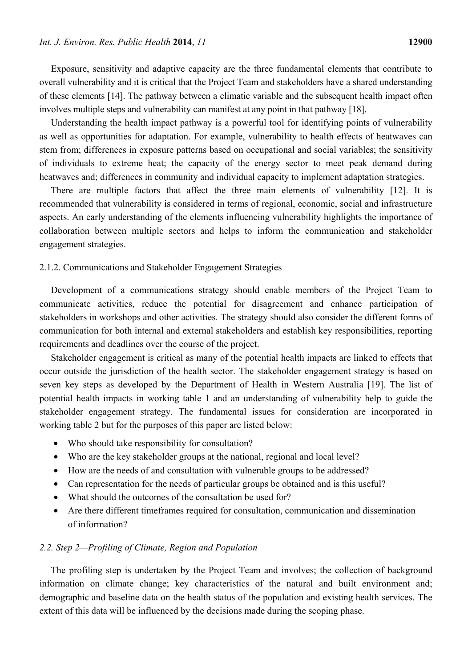Exposure, sensitivity and adaptive capacity are the three fundamental elements that contribute to overall vulnerability and it is critical that the Project Team and stakeholders have a shared understanding of these elements [14]. The pathway between a climatic variable and the subsequent health impact often involves multiple steps and vulnerability can manifest at any point in that pathway [18].

Understanding the health impact pathway is a powerful tool for identifying points of vulnerability as well as opportunities for adaptation. For example, vulnerability to health effects of heatwaves can stem from; differences in exposure patterns based on occupational and social variables; the sensitivity of individuals to extreme heat; the capacity of the energy sector to meet peak demand during heatwaves and; differences in community and individual capacity to implement adaptation strategies.

There are multiple factors that affect the three main elements of vulnerability [12]. It is recommended that vulnerability is considered in terms of regional, economic, social and infrastructure aspects. An early understanding of the elements influencing vulnerability highlights the importance of collaboration between multiple sectors and helps to inform the communication and stakeholder engagement strategies.

#### 2.1.2. Communications and Stakeholder Engagement Strategies

Development of a communications strategy should enable members of the Project Team to communicate activities, reduce the potential for disagreement and enhance participation of stakeholders in workshops and other activities. The strategy should also consider the different forms of communication for both internal and external stakeholders and establish key responsibilities, reporting requirements and deadlines over the course of the project.

Stakeholder engagement is critical as many of the potential health impacts are linked to effects that occur outside the jurisdiction of the health sector. The stakeholder engagement strategy is based on seven key steps as developed by the Department of Health in Western Australia [19]. The list of potential health impacts in working table 1 and an understanding of vulnerability help to guide the stakeholder engagement strategy. The fundamental issues for consideration are incorporated in working table 2 but for the purposes of this paper are listed below:

- Who should take responsibility for consultation?
- Who are the key stakeholder groups at the national, regional and local level?
- How are the needs of and consultation with vulnerable groups to be addressed?
- Can representation for the needs of particular groups be obtained and is this useful?
- What should the outcomes of the consultation be used for?
- Are there different timeframes required for consultation, communication and dissemination of information?

## *2.2. Step 2—Profiling of Climate, Region and Population*

The profiling step is undertaken by the Project Team and involves; the collection of background information on climate change; key characteristics of the natural and built environment and; demographic and baseline data on the health status of the population and existing health services. The extent of this data will be influenced by the decisions made during the scoping phase.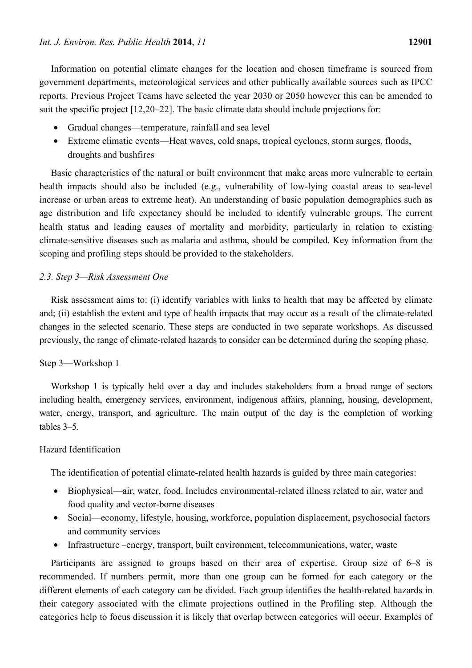Information on potential climate changes for the location and chosen timeframe is sourced from government departments, meteorological services and other publically available sources such as IPCC reports. Previous Project Teams have selected the year 2030 or 2050 however this can be amended to suit the specific project [12,20–22]. The basic climate data should include projections for:

- Gradual changes—temperature, rainfall and sea level
- Extreme climatic events—Heat waves, cold snaps, tropical cyclones, storm surges, floods, droughts and bushfires

Basic characteristics of the natural or built environment that make areas more vulnerable to certain health impacts should also be included (e.g., vulnerability of low-lying coastal areas to sea-level increase or urban areas to extreme heat). An understanding of basic population demographics such as age distribution and life expectancy should be included to identify vulnerable groups. The current health status and leading causes of mortality and morbidity, particularly in relation to existing climate-sensitive diseases such as malaria and asthma, should be compiled. Key information from the scoping and profiling steps should be provided to the stakeholders.

## *2.3. Step 3—Risk Assessment One*

Risk assessment aims to: (i) identify variables with links to health that may be affected by climate and; (ii) establish the extent and type of health impacts that may occur as a result of the climate-related changes in the selected scenario. These steps are conducted in two separate workshops. As discussed previously, the range of climate-related hazards to consider can be determined during the scoping phase.

### Step 3—Workshop 1

Workshop 1 is typically held over a day and includes stakeholders from a broad range of sectors including health, emergency services, environment, indigenous affairs, planning, housing, development, water, energy, transport, and agriculture. The main output of the day is the completion of working tables 3–5.

### Hazard Identification

The identification of potential climate-related health hazards is guided by three main categories:

- Biophysical—air, water, food. Includes environmental-related illness related to air, water and food quality and vector-borne diseases
- Social—economy, lifestyle, housing, workforce, population displacement, psychosocial factors and community services
- Infrastructure –energy, transport, built environment, telecommunications, water, waste

Participants are assigned to groups based on their area of expertise. Group size of 6–8 is recommended. If numbers permit, more than one group can be formed for each category or the different elements of each category can be divided. Each group identifies the health-related hazards in their category associated with the climate projections outlined in the Profiling step. Although the categories help to focus discussion it is likely that overlap between categories will occur. Examples of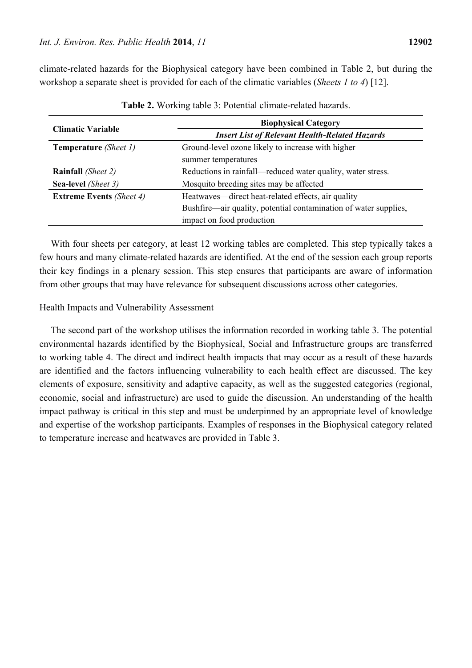climate-related hazards for the Biophysical category have been combined in Table 2, but during the workshop a separate sheet is provided for each of the climatic variables (*Sheets 1 to 4*) [12].

|                                    | <b>Biophysical Category</b>                                      |  |  |  |  |
|------------------------------------|------------------------------------------------------------------|--|--|--|--|
| <b>Climatic Variable</b>           | <b>Insert List of Relevant Health-Related Hazards</b>            |  |  |  |  |
| <b>Temperature</b> (Sheet 1)       | Ground-level ozone likely to increase with higher                |  |  |  |  |
|                                    | summer temperatures                                              |  |  |  |  |
| <b>Rainfall</b> ( <i>Sheet 2</i> ) | Reductions in rainfall—reduced water quality, water stress.      |  |  |  |  |
| Sea-level (Sheet 3)                | Mosquito breeding sites may be affected                          |  |  |  |  |
| <b>Extreme Events (Sheet 4)</b>    | Heatwaves—direct heat-related effects, air quality               |  |  |  |  |
|                                    | Bushfire—air quality, potential contamination of water supplies, |  |  |  |  |
|                                    | impact on food production                                        |  |  |  |  |

**Table 2.** Working table 3: Potential climate-related hazards.

With four sheets per category, at least 12 working tables are completed. This step typically takes a few hours and many climate-related hazards are identified. At the end of the session each group reports their key findings in a plenary session. This step ensures that participants are aware of information from other groups that may have relevance for subsequent discussions across other categories.

#### Health Impacts and Vulnerability Assessment

The second part of the workshop utilises the information recorded in working table 3. The potential environmental hazards identified by the Biophysical, Social and Infrastructure groups are transferred to working table 4. The direct and indirect health impacts that may occur as a result of these hazards are identified and the factors influencing vulnerability to each health effect are discussed. The key elements of exposure, sensitivity and adaptive capacity, as well as the suggested categories (regional, economic, social and infrastructure) are used to guide the discussion. An understanding of the health impact pathway is critical in this step and must be underpinned by an appropriate level of knowledge and expertise of the workshop participants. Examples of responses in the Biophysical category related to temperature increase and heatwaves are provided in Table 3.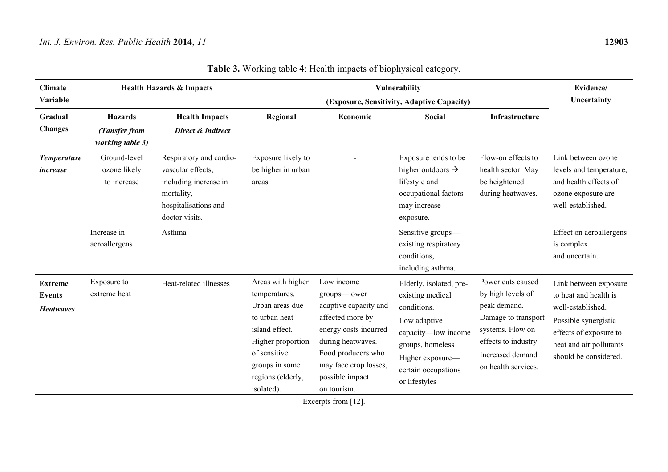| <b>Health Hazards &amp; Impacts</b><br><b>Climate</b><br>Variable |                                                     |                                                                                                                               |                                                                                                                                                                                    | Vulnerability<br>(Exposure, Sensitivity, Adaptive Capacity)                                                                                                                                            |                                                                                                                                                                                   |                                                                                                                                                                      |                                                                                                                                                                           |  |
|-------------------------------------------------------------------|-----------------------------------------------------|-------------------------------------------------------------------------------------------------------------------------------|------------------------------------------------------------------------------------------------------------------------------------------------------------------------------------|--------------------------------------------------------------------------------------------------------------------------------------------------------------------------------------------------------|-----------------------------------------------------------------------------------------------------------------------------------------------------------------------------------|----------------------------------------------------------------------------------------------------------------------------------------------------------------------|---------------------------------------------------------------------------------------------------------------------------------------------------------------------------|--|
| Gradual<br><b>Changes</b>                                         | <b>Hazards</b><br>(Tansfer from<br>working table 3) | <b>Health Impacts</b><br>Direct & indirect                                                                                    | Regional                                                                                                                                                                           | Economic                                                                                                                                                                                               | Social                                                                                                                                                                            | Infrastructure                                                                                                                                                       |                                                                                                                                                                           |  |
| <b>Temperature</b><br><i>increase</i>                             | Ground-level<br>ozone likely<br>to increase         | Respiratory and cardio-<br>vascular effects,<br>including increase in<br>mortality,<br>hospitalisations and<br>doctor visits. | Exposure likely to<br>be higher in urban<br>areas                                                                                                                                  |                                                                                                                                                                                                        | Exposure tends to be<br>higher outdoors $\rightarrow$<br>lifestyle and<br>occupational factors<br>may increase<br>exposure.                                                       | Flow-on effects to<br>health sector. May<br>be heightened<br>during heatwaves.                                                                                       | Link between ozone<br>levels and temperature,<br>and health effects of<br>ozone exposure are<br>well-established.                                                         |  |
|                                                                   | Increase in<br>aeroallergens                        | Asthma                                                                                                                        |                                                                                                                                                                                    |                                                                                                                                                                                                        | Sensitive groups-<br>existing respiratory<br>conditions,<br>including asthma.                                                                                                     |                                                                                                                                                                      | Effect on aeroallergens<br>is complex<br>and uncertain.                                                                                                                   |  |
| <b>Extreme</b><br><b>Events</b><br><b>Heatwayes</b>               | Exposure to<br>extreme heat                         | Heat-related illnesses                                                                                                        | Areas with higher<br>temperatures.<br>Urban areas due<br>to urban heat<br>island effect.<br>Higher proportion<br>of sensitive<br>groups in some<br>regions (elderly,<br>isolated). | Low income<br>groups-lower<br>adaptive capacity and<br>affected more by<br>energy costs incurred<br>during heatwaves.<br>Food producers who<br>may face crop losses,<br>possible impact<br>on tourism. | Elderly, isolated, pre-<br>existing medical<br>conditions.<br>Low adaptive<br>capacity-low income<br>groups, homeless<br>Higher exposure-<br>certain occupations<br>or lifestyles | Power cuts caused<br>by high levels of<br>peak demand.<br>Damage to transport<br>systems. Flow on<br>effects to industry.<br>Increased demand<br>on health services. | Link between exposure<br>to heat and health is<br>well-established.<br>Possible synergistic<br>effects of exposure to<br>heat and air pollutants<br>should be considered. |  |

**Table 3.** Working table 4: Health impacts of biophysical category.

Excerpts from [12].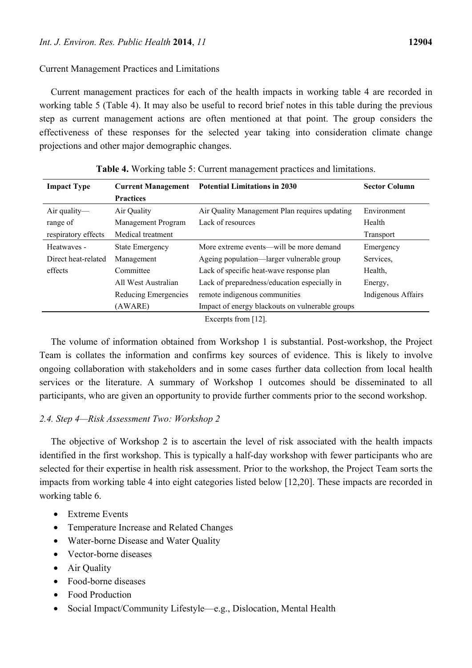## Current Management Practices and Limitations

Current management practices for each of the health impacts in working table 4 are recorded in working table 5 (Table 4). It may also be useful to record brief notes in this table during the previous step as current management actions are often mentioned at that point. The group considers the effectiveness of these responses for the selected year taking into consideration climate change projections and other major demographic changes.

| <b>Impact Type</b>  | <b>Current Management</b> | <b>Potential Limitations in 2030</b>            | <b>Sector Column</b> |
|---------------------|---------------------------|-------------------------------------------------|----------------------|
|                     | <b>Practices</b>          |                                                 |                      |
| Air quality-        | Air Quality               | Air Quality Management Plan requires updating   | Environment          |
| range of            | Management Program        | Lack of resources                               | Health               |
| respiratory effects | Medical treatment         |                                                 | Transport            |
| Heatwayes -         | <b>State Emergency</b>    | More extreme events—will be more demand         | Emergency            |
| Direct heat-related | Management                | Ageing population—larger vulnerable group       | Services.            |
| effects             | Committee                 | Lack of specific heat-wave response plan        | Health.              |
|                     | All West Australian       | Lack of preparedness/education especially in    | Energy,              |
|                     | Reducing Emergencies      | remote indigenous communities                   | Indigenous Affairs   |
|                     | (AWARE)                   | Impact of energy blackouts on vulnerable groups |                      |

**Table 4.** Working table 5: Current management practices and limitations.

Excerpts from [12].

The volume of information obtained from Workshop 1 is substantial. Post-workshop, the Project Team is collates the information and confirms key sources of evidence. This is likely to involve ongoing collaboration with stakeholders and in some cases further data collection from local health services or the literature. A summary of Workshop 1 outcomes should be disseminated to all participants, who are given an opportunity to provide further comments prior to the second workshop.

# *2.4. Step 4—Risk Assessment Two: Workshop 2*

The objective of Workshop 2 is to ascertain the level of risk associated with the health impacts identified in the first workshop. This is typically a half-day workshop with fewer participants who are selected for their expertise in health risk assessment. Prior to the workshop, the Project Team sorts the impacts from working table 4 into eight categories listed below [12,20]. These impacts are recorded in working table 6.

- Extreme Events
- Temperature Increase and Related Changes
- Water-borne Disease and Water Quality
- Vector-borne diseases
- Air Quality
- Food-borne diseases
- Food Production
- Social Impact/Community Lifestyle—e.g., Dislocation, Mental Health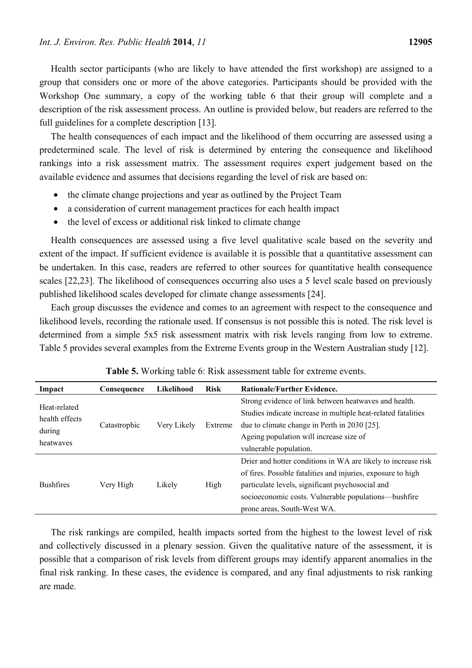Health sector participants (who are likely to have attended the first workshop) are assigned to a group that considers one or more of the above categories. Participants should be provided with the Workshop One summary, a copy of the working table 6 that their group will complete and a description of the risk assessment process. An outline is provided below, but readers are referred to the full guidelines for a complete description [13].

The health consequences of each impact and the likelihood of them occurring are assessed using a predetermined scale. The level of risk is determined by entering the consequence and likelihood rankings into a risk assessment matrix. The assessment requires expert judgement based on the available evidence and assumes that decisions regarding the level of risk are based on:

- the climate change projections and year as outlined by the Project Team
- a consideration of current management practices for each health impact
- the level of excess or additional risk linked to climate change

Health consequences are assessed using a five level qualitative scale based on the severity and extent of the impact. If sufficient evidence is available it is possible that a quantitative assessment can be undertaken. In this case, readers are referred to other sources for quantitative health consequence scales [22,23]. The likelihood of consequences occurring also uses a 5 level scale based on previously published likelihood scales developed for climate change assessments [24].

Each group discusses the evidence and comes to an agreement with respect to the consequence and likelihood levels, recording the rationale used. If consensus is not possible this is noted. The risk level is determined from a simple 5x5 risk assessment matrix with risk levels ranging from low to extreme. Table 5 provides several examples from the Extreme Events group in the Western Australian study [12].

| Impact           | Consequence  | Likelihood             | <b>Risk</b> | <b>Rationale/Further Evidence.</b>                            |
|------------------|--------------|------------------------|-------------|---------------------------------------------------------------|
| Heat-related     |              |                        |             | Strong evidence of link between heatwaves and health.         |
|                  |              |                        |             | Studies indicate increase in multiple heat-related fatalities |
| health effects   | Catastrophic | Very Likely<br>Extreme |             | due to climate change in Perth in 2030 [25].                  |
| during           |              |                        |             | Ageing population will increase size of                       |
| heatwayes        |              |                        |             | vulnerable population.                                        |
|                  |              |                        |             | Drier and hotter conditions in WA are likely to increase risk |
|                  |              |                        |             | of fires. Possible fatalities and injuries, exposure to high  |
| <b>Bushfires</b> | Very High    | Likely                 | High        | particulate levels, significant psychosocial and              |
|                  |              |                        |             | socioeconomic costs. Vulnerable populations—bushfire          |
|                  |              |                        |             | prone areas, South-West WA.                                   |

|  |  |  |  |  | Table 5. Working table 6: Risk assessment table for extreme events. |  |  |  |  |
|--|--|--|--|--|---------------------------------------------------------------------|--|--|--|--|
|--|--|--|--|--|---------------------------------------------------------------------|--|--|--|--|

The risk rankings are compiled, health impacts sorted from the highest to the lowest level of risk and collectively discussed in a plenary session. Given the qualitative nature of the assessment, it is possible that a comparison of risk levels from different groups may identify apparent anomalies in the final risk ranking. In these cases, the evidence is compared, and any final adjustments to risk ranking are made.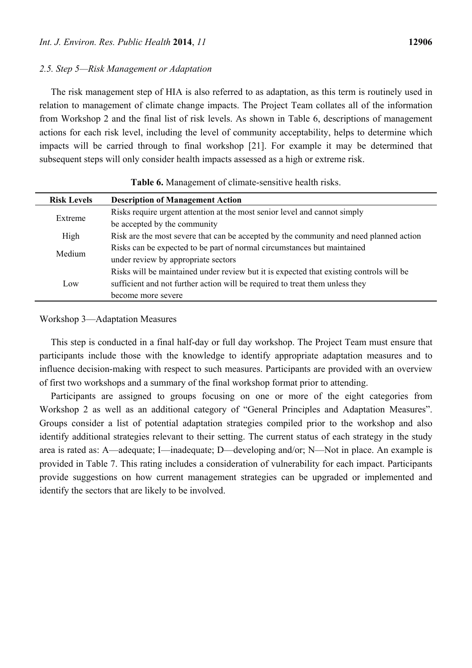### *2.5. Step 5—Risk Management or Adaptation*

The risk management step of HIA is also referred to as adaptation, as this term is routinely used in relation to management of climate change impacts. The Project Team collates all of the information from Workshop 2 and the final list of risk levels. As shown in Table 6, descriptions of management actions for each risk level, including the level of community acceptability, helps to determine which impacts will be carried through to final workshop [21]. For example it may be determined that subsequent steps will only consider health impacts assessed as a high or extreme risk.

| <b>Risk Levels</b> | <b>Description of Management Action</b>                                                 |
|--------------------|-----------------------------------------------------------------------------------------|
|                    | Risks require urgent attention at the most senior level and cannot simply               |
| Extreme            | be accepted by the community                                                            |
| High               | Risk are the most severe that can be accepted by the community and need planned action  |
| Medium             | Risks can be expected to be part of normal circumstances but maintained                 |
|                    | under review by appropriate sectors                                                     |
|                    | Risks will be maintained under review but it is expected that existing controls will be |
| Low                | sufficient and not further action will be required to treat them unless they            |
|                    | become more severe                                                                      |

**Table 6.** Management of climate-sensitive health risks.

#### Workshop 3—Adaptation Measures

This step is conducted in a final half-day or full day workshop. The Project Team must ensure that participants include those with the knowledge to identify appropriate adaptation measures and to influence decision-making with respect to such measures. Participants are provided with an overview of first two workshops and a summary of the final workshop format prior to attending.

Participants are assigned to groups focusing on one or more of the eight categories from Workshop 2 as well as an additional category of "General Principles and Adaptation Measures". Groups consider a list of potential adaptation strategies compiled prior to the workshop and also identify additional strategies relevant to their setting. The current status of each strategy in the study area is rated as: A—adequate; I—inadequate; D—developing and/or; N—Not in place. An example is provided in Table 7. This rating includes a consideration of vulnerability for each impact. Participants provide suggestions on how current management strategies can be upgraded or implemented and identify the sectors that are likely to be involved.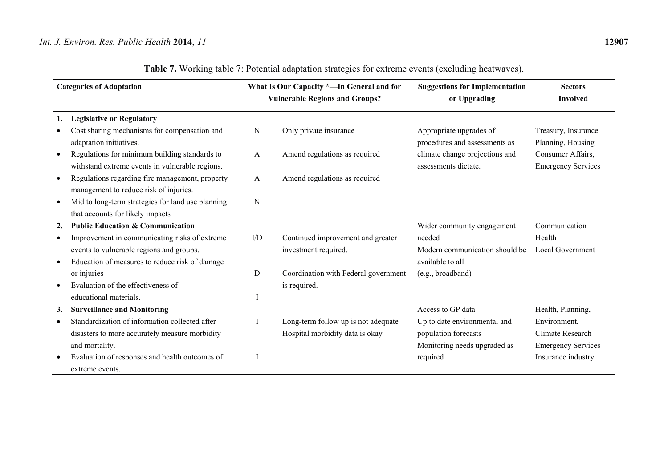# *Int. J. Environ. Res. Public Health* **2014**, *11* **12907**

| <b>Categories of Adaptation</b> |                                                   |     | What Is Our Capacity *-In General and for | <b>Suggestions for Implementation</b> | <b>Sectors</b>            |
|---------------------------------|---------------------------------------------------|-----|-------------------------------------------|---------------------------------------|---------------------------|
|                                 |                                                   |     | <b>Vulnerable Regions and Groups?</b>     | or Upgrading                          | <b>Involved</b>           |
| 1.                              | <b>Legislative or Regulatory</b>                  |     |                                           |                                       |                           |
|                                 | Cost sharing mechanisms for compensation and      | Ν   | Only private insurance                    | Appropriate upgrades of               | Treasury, Insurance       |
|                                 | adaptation initiatives.                           |     |                                           | procedures and assessments as         | Planning, Housing         |
|                                 | Regulations for minimum building standards to     | A   | Amend regulations as required             | climate change projections and        | Consumer Affairs,         |
|                                 | withstand extreme events in vulnerable regions.   |     |                                           | assessments dictate.                  | <b>Emergency Services</b> |
|                                 | Regulations regarding fire management, property   | A   | Amend regulations as required             |                                       |                           |
|                                 | management to reduce risk of injuries.            |     |                                           |                                       |                           |
|                                 | Mid to long-term strategies for land use planning | N   |                                           |                                       |                           |
|                                 | that accounts for likely impacts                  |     |                                           |                                       |                           |
| 2.                              | <b>Public Education &amp; Communication</b>       |     |                                           | Wider community engagement            | Communication             |
|                                 | Improvement in communicating risks of extreme     | I/D | Continued improvement and greater         | needed                                | Health                    |
|                                 | events to vulnerable regions and groups.          |     | investment required.                      | Modern communication should be        | Local Government          |
|                                 | Education of measures to reduce risk of damage    |     |                                           | available to all                      |                           |
|                                 | or injuries                                       | D   | Coordination with Federal government      | (e.g., broadband)                     |                           |
|                                 | Evaluation of the effectiveness of                |     | is required.                              |                                       |                           |
|                                 | educational materials.                            |     |                                           |                                       |                           |
| 3.                              | <b>Surveillance and Monitoring</b>                |     |                                           | Access to GP data                     | Health, Planning,         |
|                                 | Standardization of information collected after    |     | Long-term follow up is not adequate       | Up to date environmental and          | Environment,              |
|                                 | disasters to more accurately measure morbidity    |     | Hospital morbidity data is okay           | population forecasts                  | Climate Research          |
|                                 | and mortality.                                    |     |                                           | Monitoring needs upgraded as          | <b>Emergency Services</b> |
|                                 | Evaluation of responses and health outcomes of    |     |                                           | required                              | Insurance industry        |
|                                 | extreme events.                                   |     |                                           |                                       |                           |

| Table 7. Working table 7: Potential adaptation strategies for extreme events (excluding heatwaves). |
|-----------------------------------------------------------------------------------------------------|
|                                                                                                     |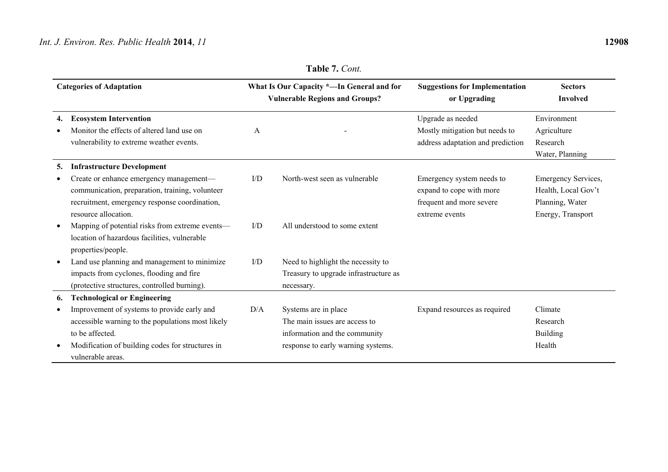# *Int. J. Environ. Res. Public Health* **2014**, *11* **12908**

|           | <b>Categories of Adaptation</b>                   |     | What Is Our Capacity *-In General and for | <b>Suggestions for Implementation</b> | <b>Sectors</b>      |
|-----------|---------------------------------------------------|-----|-------------------------------------------|---------------------------------------|---------------------|
|           |                                                   |     | <b>Vulnerable Regions and Groups?</b>     | or Upgrading                          | <b>Involved</b>     |
| 4.        | <b>Ecosystem Intervention</b>                     |     |                                           | Upgrade as needed                     | Environment         |
| $\bullet$ | Monitor the effects of altered land use on        | A   |                                           | Mostly mitigation but needs to        | Agriculture         |
|           | vulnerability to extreme weather events.          |     |                                           | address adaptation and prediction     | Research            |
|           |                                                   |     |                                           |                                       | Water, Planning     |
| 5.        | <b>Infrastructure Development</b>                 |     |                                           |                                       |                     |
| $\bullet$ | Create or enhance emergency management—           | I/D | North-west seen as vulnerable             | Emergency system needs to             | Emergency Services, |
|           | communication, preparation, training, volunteer   |     |                                           | expand to cope with more              | Health, Local Gov't |
|           | recruitment, emergency response coordination,     |     |                                           | frequent and more severe              | Planning, Water     |
|           | resource allocation.                              |     |                                           | extreme events                        | Energy, Transport   |
| $\bullet$ | Mapping of potential risks from extreme events-   | I/D | All understood to some extent             |                                       |                     |
|           | location of hazardous facilities, vulnerable      |     |                                           |                                       |                     |
|           | properties/people.                                |     |                                           |                                       |                     |
| $\bullet$ | Land use planning and management to minimize      | I/D | Need to highlight the necessity to        |                                       |                     |
|           | impacts from cyclones, flooding and fire          |     | Treasury to upgrade infrastructure as     |                                       |                     |
|           | (protective structures, controlled burning).      |     | necessary.                                |                                       |                     |
| 6.        | <b>Technological or Engineering</b>               |     |                                           |                                       |                     |
| $\bullet$ | Improvement of systems to provide early and       | D/A | Systems are in place                      | Expand resources as required          | Climate             |
|           | accessible warning to the populations most likely |     | The main issues are access to             |                                       | Research            |
|           | to be affected.                                   |     | information and the community             |                                       | Building            |
| $\bullet$ | Modification of building codes for structures in  |     | response to early warning systems.        |                                       | Health              |
|           | vulnerable areas.                                 |     |                                           |                                       |                     |

**Table 7.** *Cont.*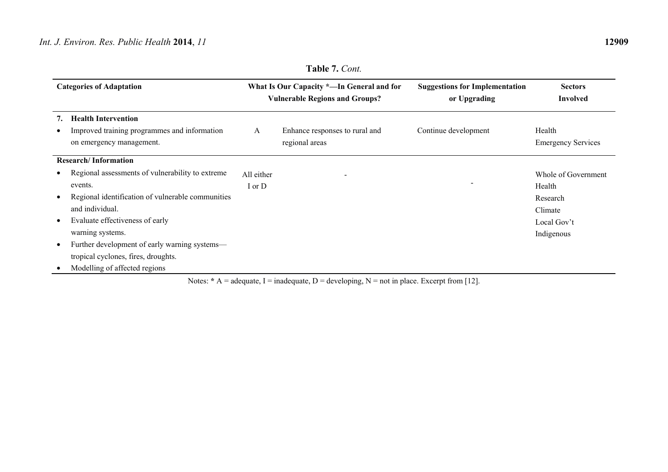|           | <b>Categories of Adaptation</b>                                                                        |            | What Is Our Capacity *—In General and for<br><b>Vulnerable Regions and Groups?</b> | <b>Suggestions for Implementation</b><br>or Upgrading | <b>Sectors</b><br><b>Involved</b>   |
|-----------|--------------------------------------------------------------------------------------------------------|------------|------------------------------------------------------------------------------------|-------------------------------------------------------|-------------------------------------|
|           | <b>Health Intervention</b><br>Improved training programmes and information<br>on emergency management. | A          | Enhance responses to rural and<br>regional areas                                   | Continue development                                  | Health<br><b>Emergency Services</b> |
|           | <b>Research/Information</b>                                                                            |            |                                                                                    |                                                       |                                     |
|           | Regional assessments of vulnerability to extreme                                                       | All either |                                                                                    |                                                       | Whole of Government                 |
|           | events.                                                                                                | I or D     |                                                                                    |                                                       | Health                              |
|           | Regional identification of vulnerable communities                                                      |            |                                                                                    |                                                       | Research                            |
|           | and individual.                                                                                        |            |                                                                                    |                                                       | Climate                             |
|           | Evaluate effectiveness of early                                                                        |            |                                                                                    |                                                       | Local Gov't                         |
|           | warning systems.                                                                                       |            |                                                                                    |                                                       | Indigenous                          |
| $\bullet$ | Further development of early warning systems—                                                          |            |                                                                                    |                                                       |                                     |
|           | tropical cyclones, fires, droughts.                                                                    |            |                                                                                    |                                                       |                                     |
|           | Modelling of affected regions                                                                          |            |                                                                                    |                                                       |                                     |

**Table 7.** *Cont.* 

Notes:  $* A = \text{adequate}, I = \text{indequate}, D = \text{developing}, N = \text{not in place}.$  Excerpt from [12].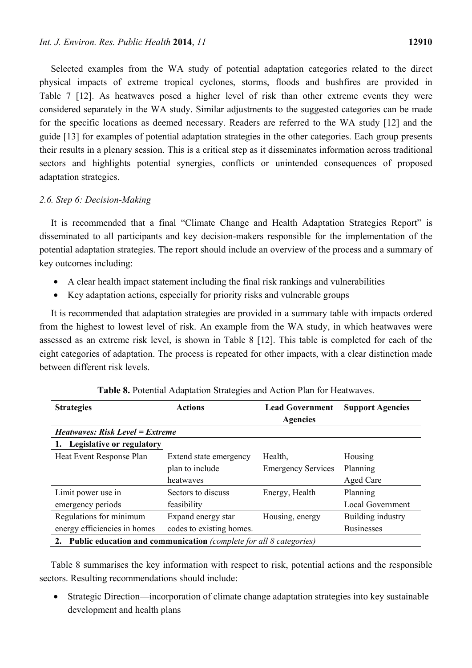Selected examples from the WA study of potential adaptation categories related to the direct physical impacts of extreme tropical cyclones, storms, floods and bushfires are provided in Table 7 [12]. As heatwaves posed a higher level of risk than other extreme events they were considered separately in the WA study. Similar adjustments to the suggested categories can be made for the specific locations as deemed necessary. Readers are referred to the WA study [12] and the guide [13] for examples of potential adaptation strategies in the other categories. Each group presents their results in a plenary session. This is a critical step as it disseminates information across traditional sectors and highlights potential synergies, conflicts or unintended consequences of proposed adaptation strategies.

#### *2.6. Step 6: Decision-Making*

It is recommended that a final "Climate Change and Health Adaptation Strategies Report" is disseminated to all participants and key decision-makers responsible for the implementation of the potential adaptation strategies. The report should include an overview of the process and a summary of key outcomes including:

- A clear health impact statement including the final risk rankings and vulnerabilities
- Key adaptation actions, especially for priority risks and vulnerable groups

It is recommended that adaptation strategies are provided in a summary table with impacts ordered from the highest to lowest level of risk. An example from the WA study, in which heatwaves were assessed as an extreme risk level, is shown in Table 8 [12]. This table is completed for each of the eight categories of adaptation. The process is repeated for other impacts, with a clear distinction made between different risk levels.

| <b>Strategies</b>                                                     | <b>Actions</b>           | <b>Lead Government</b>    | <b>Support Agencies</b> |  |  |  |  |  |  |
|-----------------------------------------------------------------------|--------------------------|---------------------------|-------------------------|--|--|--|--|--|--|
|                                                                       |                          | <b>Agencies</b>           |                         |  |  |  |  |  |  |
| <i>Heatwaves: Risk Level = Extreme</i>                                |                          |                           |                         |  |  |  |  |  |  |
| <b>Legislative or regulatory</b>                                      |                          |                           |                         |  |  |  |  |  |  |
| Heat Event Response Plan                                              | Extend state emergency   | Health,                   | Housing                 |  |  |  |  |  |  |
|                                                                       | plan to include          | <b>Emergency Services</b> | Planning                |  |  |  |  |  |  |
|                                                                       | heatwaves                |                           | Aged Care               |  |  |  |  |  |  |
| Limit power use in                                                    | Sectors to discuss       | Energy, Health            | Planning                |  |  |  |  |  |  |
| emergency periods                                                     | feasibility              |                           | <b>Local Government</b> |  |  |  |  |  |  |
| Regulations for minimum                                               | Expand energy star       | Housing, energy           | Building industry       |  |  |  |  |  |  |
| energy efficiencies in homes                                          | codes to existing homes. |                           | <b>Businesses</b>       |  |  |  |  |  |  |
| 2. Public education and communication (complete for all 8 categories) |                          |                           |                         |  |  |  |  |  |  |

**Table 8.** Potential Adaptation Strategies and Action Plan for Heatwaves.

Table 8 summarises the key information with respect to risk, potential actions and the responsible sectors. Resulting recommendations should include:

• Strategic Direction—incorporation of climate change adaptation strategies into key sustainable development and health plans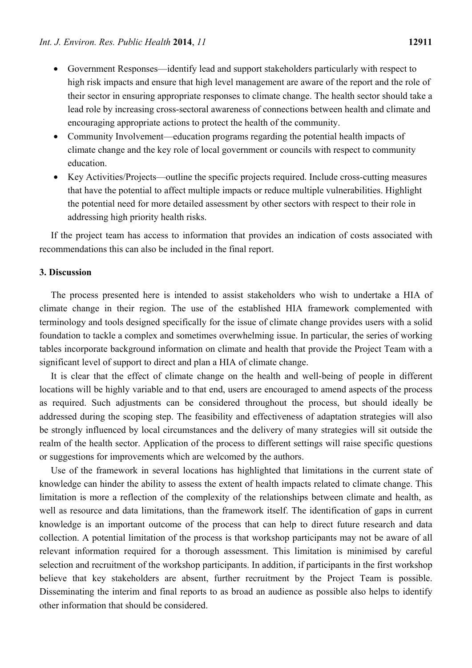- Government Responses—identify lead and support stakeholders particularly with respect to high risk impacts and ensure that high level management are aware of the report and the role of their sector in ensuring appropriate responses to climate change. The health sector should take a lead role by increasing cross-sectoral awareness of connections between health and climate and encouraging appropriate actions to protect the health of the community.
- Community Involvement—education programs regarding the potential health impacts of climate change and the key role of local government or councils with respect to community education.
- Key Activities/Projects—outline the specific projects required. Include cross-cutting measures that have the potential to affect multiple impacts or reduce multiple vulnerabilities. Highlight the potential need for more detailed assessment by other sectors with respect to their role in addressing high priority health risks.

If the project team has access to information that provides an indication of costs associated with recommendations this can also be included in the final report.

### **3. Discussion**

The process presented here is intended to assist stakeholders who wish to undertake a HIA of climate change in their region. The use of the established HIA framework complemented with terminology and tools designed specifically for the issue of climate change provides users with a solid foundation to tackle a complex and sometimes overwhelming issue. In particular, the series of working tables incorporate background information on climate and health that provide the Project Team with a significant level of support to direct and plan a HIA of climate change.

It is clear that the effect of climate change on the health and well-being of people in different locations will be highly variable and to that end, users are encouraged to amend aspects of the process as required. Such adjustments can be considered throughout the process, but should ideally be addressed during the scoping step. The feasibility and effectiveness of adaptation strategies will also be strongly influenced by local circumstances and the delivery of many strategies will sit outside the realm of the health sector. Application of the process to different settings will raise specific questions or suggestions for improvements which are welcomed by the authors.

Use of the framework in several locations has highlighted that limitations in the current state of knowledge can hinder the ability to assess the extent of health impacts related to climate change. This limitation is more a reflection of the complexity of the relationships between climate and health, as well as resource and data limitations, than the framework itself. The identification of gaps in current knowledge is an important outcome of the process that can help to direct future research and data collection. A potential limitation of the process is that workshop participants may not be aware of all relevant information required for a thorough assessment. This limitation is minimised by careful selection and recruitment of the workshop participants. In addition, if participants in the first workshop believe that key stakeholders are absent, further recruitment by the Project Team is possible. Disseminating the interim and final reports to as broad an audience as possible also helps to identify other information that should be considered.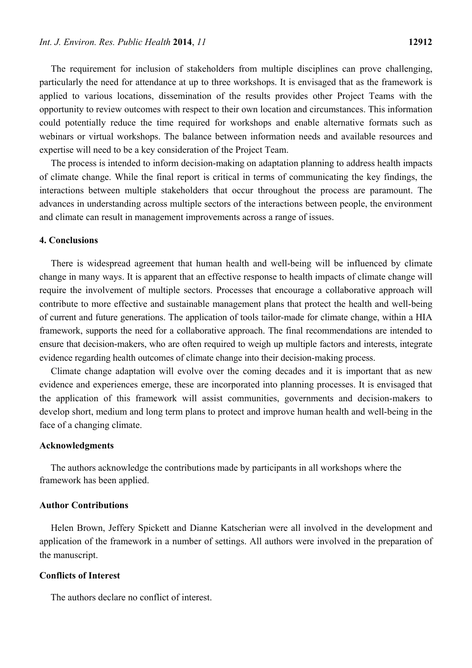The requirement for inclusion of stakeholders from multiple disciplines can prove challenging, particularly the need for attendance at up to three workshops. It is envisaged that as the framework is applied to various locations, dissemination of the results provides other Project Teams with the opportunity to review outcomes with respect to their own location and circumstances. This information could potentially reduce the time required for workshops and enable alternative formats such as webinars or virtual workshops. The balance between information needs and available resources and expertise will need to be a key consideration of the Project Team.

The process is intended to inform decision-making on adaptation planning to address health impacts of climate change. While the final report is critical in terms of communicating the key findings, the interactions between multiple stakeholders that occur throughout the process are paramount. The advances in understanding across multiple sectors of the interactions between people, the environment and climate can result in management improvements across a range of issues.

#### **4. Conclusions**

There is widespread agreement that human health and well-being will be influenced by climate change in many ways. It is apparent that an effective response to health impacts of climate change will require the involvement of multiple sectors. Processes that encourage a collaborative approach will contribute to more effective and sustainable management plans that protect the health and well-being of current and future generations. The application of tools tailor-made for climate change, within a HIA framework, supports the need for a collaborative approach. The final recommendations are intended to ensure that decision-makers, who are often required to weigh up multiple factors and interests, integrate evidence regarding health outcomes of climate change into their decision-making process.

Climate change adaptation will evolve over the coming decades and it is important that as new evidence and experiences emerge, these are incorporated into planning processes. It is envisaged that the application of this framework will assist communities, governments and decision-makers to develop short, medium and long term plans to protect and improve human health and well-being in the face of a changing climate.

#### **Acknowledgments**

The authors acknowledge the contributions made by participants in all workshops where the framework has been applied.

#### **Author Contributions**

Helen Brown, Jeffery Spickett and Dianne Katscherian were all involved in the development and application of the framework in a number of settings. All authors were involved in the preparation of the manuscript.

#### **Conflicts of Interest**

The authors declare no conflict of interest.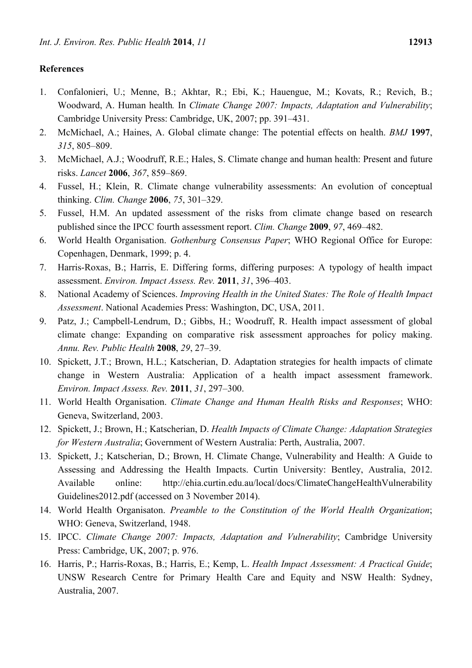## **References**

- 1. Confalonieri, U.; Menne, B.; Akhtar, R.; Ebi, K.; Hauengue, M.; Kovats, R.; Revich, B.; Woodward, A. Human health*.* In *Climate Change 2007: Impacts, Adaptation and Vulnerability*; Cambridge University Press: Cambridge, UK, 2007; pp. 391–431.
- 2. McMichael, A.; Haines, A. Global climate change: The potential effects on health. *BMJ* **1997**, *315*, 805–809.
- 3. McMichael, A.J.; Woodruff, R.E.; Hales, S. Climate change and human health: Present and future risks. *Lancet* **2006**, *367*, 859–869.
- 4. Fussel, H.; Klein, R. Climate change vulnerability assessments: An evolution of conceptual thinking. *Clim. Change* **2006**, *75*, 301–329.
- 5. Fussel, H.M. An updated assessment of the risks from climate change based on research published since the IPCC fourth assessment report. *Clim. Change* **2009**, *97*, 469–482.
- 6. World Health Organisation. *Gothenburg Consensus Paper*; WHO Regional Office for Europe: Copenhagen, Denmark, 1999; p. 4.
- 7. Harris-Roxas, B.; Harris, E. Differing forms, differing purposes: A typology of health impact assessment. *Environ. Impact Assess. Rev.* **2011**, *31*, 396–403.
- 8. National Academy of Sciences. *Improving Health in the United States: The Role of Health Impact Assessment*. National Academies Press: Washington, DC, USA, 2011.
- 9. Patz, J.; Campbell-Lendrum, D.; Gibbs, H.; Woodruff, R. Health impact assessment of global climate change: Expanding on comparative risk assessment approaches for policy making. *Annu. Rev. Public Health* **2008**, *29*, 27–39.
- 10. Spickett, J.T.; Brown, H.L.; Katscherian, D. Adaptation strategies for health impacts of climate change in Western Australia: Application of a health impact assessment framework. *Environ. Impact Assess. Rev.* **2011**, *31*, 297–300.
- 11. World Health Organisation. *Climate Change and Human Health Risks and Responses*; WHO: Geneva, Switzerland, 2003.
- 12. Spickett, J.; Brown, H.; Katscherian, D. *Health Impacts of Climate Change: Adaptation Strategies for Western Australia*; Government of Western Australia: Perth, Australia, 2007.
- 13. Spickett, J.; Katscherian, D.; Brown, H. Climate Change, Vulnerability and Health: A Guide to Assessing and Addressing the Health Impacts. Curtin University: Bentley, Australia, 2012. Available online: http://ehia.curtin.edu.au/local/docs/ClimateChangeHealthVulnerability Guidelines2012.pdf (accessed on 3 November 2014).
- 14. World Health Organisaton. *Preamble to the Constitution of the World Health Organization*; WHO: Geneva, Switzerland, 1948.
- 15. IPCC. *Climate Change 2007: Impacts, Adaptation and Vulnerability*; Cambridge University Press: Cambridge, UK, 2007; p. 976.
- 16. Harris, P.; Harris-Roxas, B.; Harris, E.; Kemp, L. *Health Impact Assessment: A Practical Guide*; UNSW Research Centre for Primary Health Care and Equity and NSW Health: Sydney, Australia, 2007.